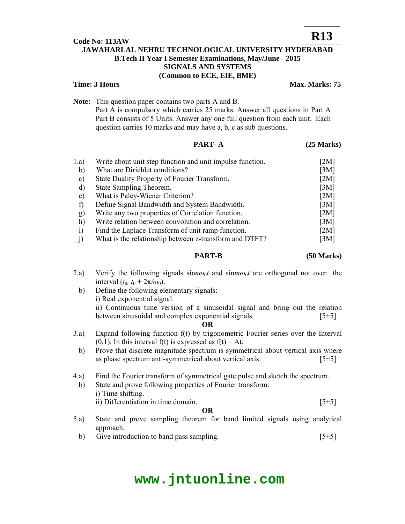## **Code No: 113AW**

# **JAWAHARLAL NEHRU TECHNOLOGICAL UNIVERSITY HYDERABAD B.Tech II Year I Semester Examinations, May/June - 2015 SIGNALS AND SYSTEMS (Common to ECE, EIE, BME)**

### **Time: 3 Hours Max. Marks: 75**

**R13**

**Note:** This question paper contains two parts A and B.

 Part A is compulsory which carries 25 marks. Answer all questions in Part A Part B consists of 5 Units. Answer any one full question from each unit. Each question carries 10 marks and may have a, b, c as sub questions.

### **PART- A** (25 Marks)

| 1.a)          | Write about unit step function and unit impulse function. | [2M] |
|---------------|-----------------------------------------------------------|------|
| $\mathbf{b}$  | What are Dirichlet conditions?                            | [3M] |
| $\mathbf{c})$ | State Duality Property of Fourier Transform.              | [2M] |
| $\mathbf{d}$  | State Sampling Theorem.                                   | [3M] |
| e)            | What is Paley-Wiener Criterion?                           | [2M] |
| $\mathbf f$   | Define Signal Bandwidth and System Bandwidth.             | [3M] |
| g)            | Write any two properties of Correlation function.         | [2M] |
| h)            | Write relation between convolution and correlation.       | [3M] |
| $\ddot{1}$    | Find the Laplace Transform of unit ramp function.         | [2M] |
|               | What is the relationship between z-transform and DTFT?    | [3M] |

#### **PART-B (50 Marks)**

- 2.a) Verify the following signals  $\sin n\omega_0 t$  and  $\sin m\omega_0 t$  are orthogonal not over the interval  $(t_0, t_0 + 2\pi/\omega_0)$ .
	- b) Define the following elementary signals: i) Real exponential signal. ii) Continuous time version of a sinusoidal signal and bring out the relation between sinusoidal and complex exponential signals. [5+5]
		- **OR**
- 3.a) Expand following function f(t) by trigonometric Fourier series over the Interval  $(0,1)$ . In this interval f(t) is expressed as f(t) = At.
- b) Prove that discrete magnitude spectrum is symmetrical about vertical axis where as phase spectrum anti-symmetrical about vertical axis. [5+5]
- 4.a) Find the Fourier transform of symmetrical gate pulse and sketch the spectrum.
- b) State and prove following properties of Fourier transform: i) Time shifting. ii) Differentiation in time domain. [5+5] **OR**
- 5.a) State and prove sampling theorem for band limited signals using analytical approach.
	- b) Give introduction to band pass sampling.  $[5+5]$

# **www.jntuonline.com**